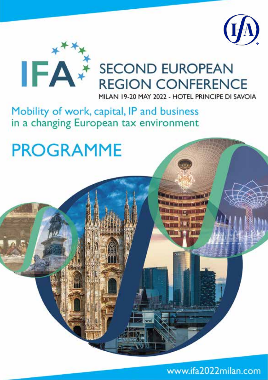



# **SECOND EUROPEAN REGION CONFERENCE**

MILAN 19-20 MAY 2022 - HOTEL PRINCIPE DI SAVOIA

**THE REAL PROPERTY AND THE IN 100 has been per and that it IN BELLEVEL** 

# Mobility of work, capital, IP and business in a changing European tax environment

# **PROGRAMME**

www.ifa2022milan.com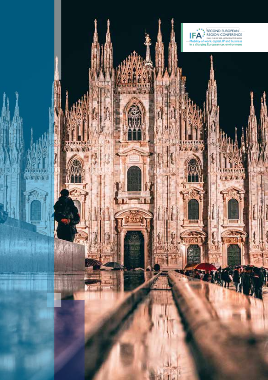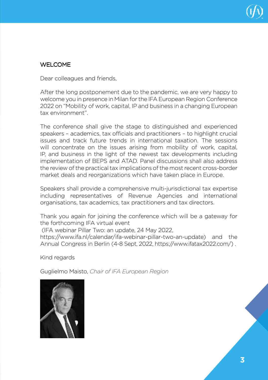

## WELCOME.

Dear colleagues and friends,

After the long postponement due to the pandemic, we are very happy to welcome you in presence in Milan for the IFA European Region Conference 2022 on "Mobility of work, capital, IP and business in a changing European tax environment".

The conference shall give the stage to distinguished and experienced speakers – academics, tax officials and practitioners – to highlight crucial issues and track future trends in international taxation. The sessions will concentrate on the issues arising from mobility of work, capital, IP, and business in the light of the newest tax developments including implementation of BEPS and ATAD. Panel discussions shall also address the review of the practical tax implications of the most recent cross-border market deals and reorganizations which have taken place in Europe.

Speakers shall provide a comprehensive multi-jurisdictional tax expertise including representatives of Revenue Agencies and international organisations, tax academics, tax practitioners and tax directors.

Thank you again for joining the conference which will be a gateway for the forthcoming IFA virtual event

(IFA webinar Pillar Two: an update, 24 May 2022,

https://www.ifa.nl/calendar/ifa-webinar-pillar-two-an-update) and the Annual Congress in Berlin (4-8 Sept, 2022, https://www.ifatax2022.com/) .

Kind regards

Guglielmo Maisto, *Chair of IFA European Region*

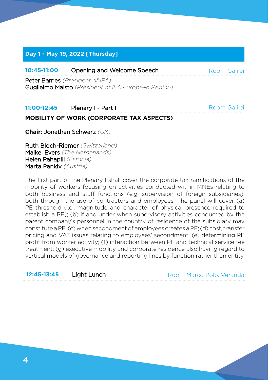## **Day 1 - May 19, 2022 [Thursday]**

## **10:45-11:00** Opening and Welcome Speech

Peter Barnes *(President of IFA)*  Guglielmo Maisto *(President of IFA European Region)*

## **11:00-12:45** Plenary I - Part I

Room Galilei

Room Galilei

## **MOBILITY OF WORK (CORPORATE TAX ASPECTS)**

**Chair:** Jonathan Schwarz *(UK)*

Ruth Bloch-Riemer *(Switzerland)* Maikel Evers *(The Netherlands)* Helen Pahapill *(Estonia)* Marta Pankiv *(Austria)*

The first part of the Plenary I shall cover the corporate tax ramifications of the mobility of workers focusing on activities conducted within MNEs relating to both business and staff functions (e.g. supervision of foreign subsidiaries), both through the use of contractors and employees. The panel will cover (a) PE threshold (i.e., magnitude and character of physical presence required to establish a PE); (b) if and under when supervisory activities conducted by the parent company's personnel in the country of residence of the subsidiary may constitute a PE; (c) when secondment of employees creates a PE; (d) cost, transfer pricing and VAT issues relating to employees' secondment; (e) determining PE profit from worker activity; (f) interaction between PE and technical service fee treatment; (g) executive mobility and corporate residence also having regard to vertical models of governance and reporting lines by function rather than entity.

### **12:45-13:45 Light Lunch Room Marco Polo, Veranda**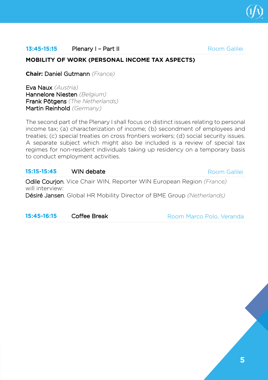

## **13:45-15:15 Plenary I – Part II Room Galilei**

## **MOBILITY OF WORK (PERSONAL INCOME TAX ASPECTS)**

**Chair:** Daniel Gutmann *(France)*

Eva Naux *(Austria)* Hannelore Niesten *(Belgium)* Frank Pötgens *(The Netherlands)* Martin Reinhold *(Germany)*

The second part of the Plenary I shall focus on distinct issues relating to personal income tax; (a) characterization of income; (b) secondment of employees and treaties; (c) special treaties on cross frontiers workers; (d) social security issues. A separate subject which might also be included is a review of special tax regimes for non-resident individuals taking up residency on a temporary basis to conduct employment activities.

| 15:15-15:45     | WIN debate                                                                          | Room Galilei |
|-----------------|-------------------------------------------------------------------------------------|--------------|
| will interview: | <b>Odile Courion</b> , Vice Chair WIN, Reporter WIN European Region <i>(France)</i> |              |
|                 | Désiré Jansen, Global HR Mobility Director of BME Group (Netherlands)               |              |

| 15:45-16:15 | Coffee Break | Room Marco Polo, Veranda |  |
|-------------|--------------|--------------------------|--|
|             |              |                          |  |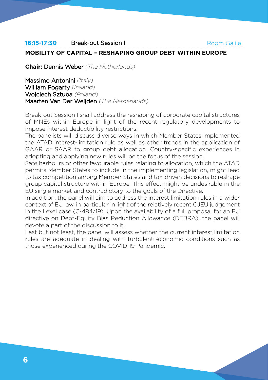#### **16:15-17:30** Break-out Session I **MOBILITY OF CAPITAL – RESHAPING GROUP DEBT WITHIN EUROPE** Room Galilei

**Chair:** Dennis Weber *(The Netherlands)*

Massimo Antonini *(Italy)* William Fogarty *(Ireland)* Wojciech Sztuba *(Poland)* Maarten Van Der Weijden *(The Netherlands)*

Break-out Session I shall address the reshaping of corporate capital structures of MNEs within Europe in light of the recent regulatory developments to impose interest deductibility restrictions.

The panelists will discuss diverse ways in which Member States implemented the ATAD interest-limitation rule as well as other trends in the application of GAAR or SAAR to group debt allocation. Country-specific experiences in adopting and applying new rules will be the focus of the session.

Safe harbours or other favourable rules relating to allocation, which the ATAD permits Member States to include in the implementing legislation, might lead to tax competition among Member States and tax-driven decisions to reshape group capital structure within Europe. This effect might be undesirable in the EU single market and contradictory to the goals of the Directive.

In addition, the panel will aim to address the interest limitation rules in a wider context of EU law, in particular in light of the relatively recent CJEU judgement in the Lexel case (C-484/19). Upon the availability of a full proposal for an EU directive on Debt-Equity Bias Reduction Allowance (DEBRA), the panel will devote a part of the discussion to it.

Last but not least, the panel will assess whether the current interest limitation rules are adequate in dealing with turbulent economic conditions such as those experienced during the COVID-19 Pandemic.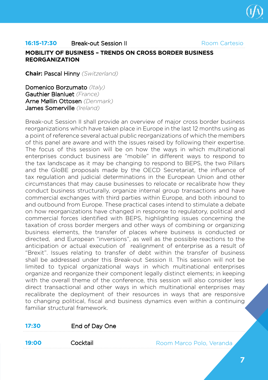

#### **16:15-17:30** Break-out Session II **MOBILITY OF BUSINESS – TRENDS ON CROSS BORDER BUSINESS REORGANIZATION** Room Cartesio

**Chair:** Pascal Hinny *(Switzerland)*

Domenico Borzumato *(Italy)* Gauthier Blanluet *(France)* Arne Møllin Ottosen *(Denmark)* James Somerville *(Ireland)*

Break-out Session II shall provide an overview of major cross border business reorganizations which have taken place in Europe in the last 12 months using as a point of reference several actual public reorganizations of which the members of this panel are aware and with the issues raised by following their expertise. The focus of this session will be on how the ways in which multinational enterprises conduct business are "mobile" in different ways to respond to the tax landscape as it may be changing to respond to BEPS, the two Pillars and the GloBE proposals made by the OECD Secretariat, the influence of tax regulation and judicial determinations in the European Union and other circumstances that may cause businesses to relocate or recalibrate how they conduct business structurally, organize internal group transactions and have commercial exchanges with third parties within Europe, and both inbound to and outbound from Europe. These practical cases intend to stimulate a debate on how reorganizations have changed in response to regulatory, political and commercial forces identified with BEPS, highlighting issues concerning the taxation of cross border mergers and other ways of combining or organizing business elements, the transfer of places where business is conducted or directed, and European "inversions", as well as the possible reactions to the anticipation or actual execution of realignment of enterprise as a result of "Brexit". Issues relating to transfer of debt within the transfer of business shall be addressed under this Break-out Session II. This session will not be limited to typical organizational ways in which multinational enterprises organize and reorganize their component legally distinct elements; in keeping with the overall theme of the conference, this session will also consider less direct transactional and other ways in which multinational enterprises may recalibrate the deployment of their resources in ways that are responsive to changing political, fiscal and business dynamics even within a continuing familiar structural framework.

| 17:30 | End of Day One |                          |
|-------|----------------|--------------------------|
|       |                |                          |
| 19:00 | Cocktail       | Room Marco Polo, Veranda |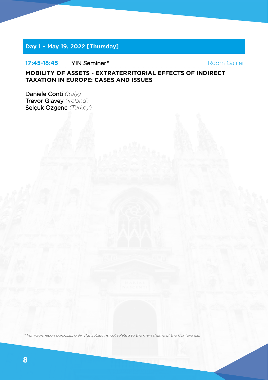## **Day 1 – May 19, 2022 [Thursday]**

### **17:45-18:45** YIN Seminar\*

Room Galilei

## **MOBILITY OF ASSETS - EXTRATERRITORIAL EFFECTS OF INDIRECT TAXATION IN EUROPE: CASES AND ISSUES**

Daniele Conti *(Italy)* Trevor Glavey *(Ireland)* Selçuk Ozgenc *(Turkey)*

*\* For information purposes only. The subject is not related to the main theme of the Conference.*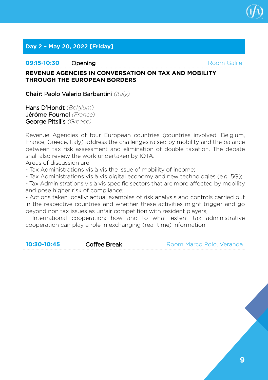

## **Day 2 – May 20, 2022 [Friday]**

## **09:15-10:30** Opening

Room Galilei

## **REVENUE AGENCIES IN CONVERSATION ON TAX AND MOBILITY THROUGH THE EUROPEAN BORDERS**

**Chair:** Paolo Valerio Barbantini *(Italy)*

Hans D'Hondt *(Belgium)* Jérôme Fournel *(France)* George Pitsilis *(Greece)* 

Revenue Agencies of four European countries (countries involved: Belgium, France, Greece, Italy) address the challenges raised by mobility and the balance between tax risk assessment and elimination of double taxation. The debate shall also review the work undertaken by IOTA.

Areas of discussion are:

- Tax Administrations vis à vis the issue of mobility of income;

- Tax Administrations vis à vis digital economy and new technologies (e.g. 5G);

- Tax Administrations vis à vis specific sectors that are more affected by mobility and pose higher risk of compliance;

- Actions taken locally: actual examples of risk analysis and controls carried out in the respective countries and whether these activities might trigger and go beyond non tax issues as unfair competition with resident players;

- International cooperation: how and to what extent tax administrative cooperation can play a role in exchanging (real-time) information.

**10:30-10:45** Coffee Break

Room Marco Polo, Veranda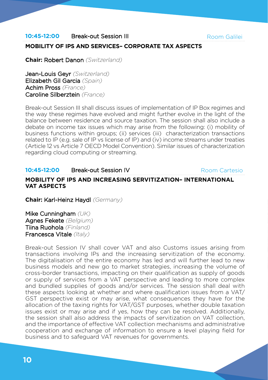**10:45-12:00** Break-out Session III

## **MOBILITY OF IPS AND SERVICES– CORPORATE TAX ASPECTS**

**Chair:** Robert Danon *(Switzerland)*

Jean-Louis Geyr *(Switzerland)* Elizabeth Gil Garcia *(Spain)* Achim Pross *(France)* Caroline Silberztein *(France)*

Break-out Session III shall discuss issues of implementation of IP Box regimes and the way these regimes have evolved and might further evolve in the light of the balance between residence and source taxation. The session shall also include a debate on income tax issues which may arise from the following: (i) mobility of business functions within groups; (ii) services (iii) characterization transactions related to IP (e.g. sale of IP vs license of IP) and (iv) income streams under treaties (Article 12 vs Article 7 OECD Model Convention). Similar issues of characterization regarding cloud computing or streaming.

#### **10:45-12:00** Break-out Session IV **MOBILITY OF IPS AND INCREASING SERVITIZATION– INTERNATIONAL VAT ASPECTS** Room Cartesio

**Chair:** Karl-Heinz Haydl *(Germany)*

Mike Cunningham *(UK)* Agnes Fekete *(Belgium)* Tiina Ruohola *(Finland)* Francesca Vitale *(Italy)*

Break-out Session IV shall cover VAT and also Customs issues arising from transactions involving IPs and the increasing servitization of the economy. The digitalisation of the entire economy has led and will further lead to new business models and new go to market strategies, increasing the volume of cross-border transactions, impacting on their qualification as supply of goods or supply of services from a VAT perspective and leading to more complex and bundled supplies of goods and/or services. The session shall deal with these aspects looking at whether and where qualification issues from a VAT/ GST perspective exist or may arise, what consequences they have for the allocation of the taxing rights for VAT/GST purposes, whether double taxation issues exist or may arise and if yes, how they can be resolved. Additionally, the session shall also address the impacts of servitization on VAT collection, and the importance of effective VAT collection mechanisms and administrative cooperation and exchange of information to ensure a level playing field for business and to safeguard VAT revenues for governments.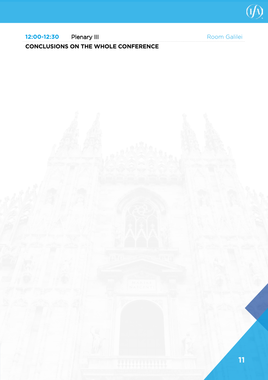

## **12:00-12:30** Plenary III **CONCLUSIONS ON THE WHOLE CONFERENCE**

Room Galilei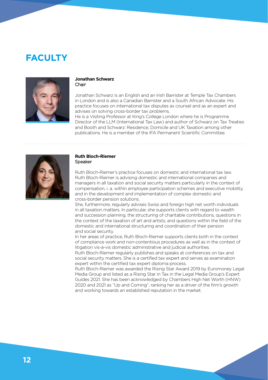## **FACULTY**



#### **Jonathan Schwarz** Chair

Jonathan Schwarz is an English and an Irish Barrister at Temple Tax Chambers in London and is also a Canadian Barrister and a South African Advocate. His practice focuses on international tax disputes as counsel and as an expert and advises on solving cross-border tax problems.

He is a Visiting Professor at King's College London where he is Programme Director of the LLM (International Tax Law) and author of Schwarz on Tax Treaties and Booth and Schwarz: Residence, Domicile and UK Taxation among other publications. He is a member of the IFA Permanent Scientific Committee.



#### **Ruth Bloch-Riemer** Speaker

Ruth Bloch-Riemer's practice focuses on domestic and international tax law. Ruth Bloch-Riemer is advising domestic and international companies and managers in all taxation and social security matters particularly in the context of compensation, i. a. within employee participation schemes and executive mobility, and in the development and implementation of complex domestic and cross-border pension solutions.

She, furthermore, regularly advises Swiss and foreign high net worth individuals in all taxation matters. In particular, she supports clients with regard to wealth and succession planning, the structuring of charitable contributions, questions in the context of the taxation of art and artists, and questions within the field of the domestic and international structuring and coordination of their pension and social security.

In her areas of practice, Ruth Bloch-Riemer supports clients both in the context of compliance work and non-contentious procedures as well as in the context of litigation vis-à-vis domestic administrative and judicial authorities.

Ruth Bloch-Riemer regularly publishes and speaks at conferences on tax and social security matters. She is a certified tax expert and serves as examination expert within the certified tax expert diploma process.

Ruth Bloch-Riemer was awarded the Rising Star Award 2019 by Euromoney Legal Media Group and listed as a Rising Star in Tax in the Legal Media Group's Expert Guides 2021. She has been acknowledged by Chambers High Net Worth (HNW) 2020 and 2021 as "Up and Coming", ranking her as a driver of the firm's growth and working towards an established reputation in the market.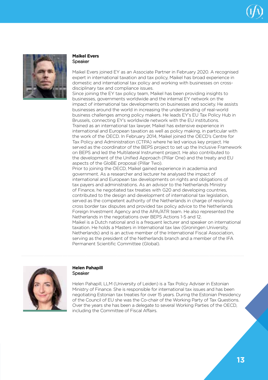



#### **Maikel Evers**  Speaker

Maikel Evers joined EY as an Associate Partner in February 2020. A recognised expert in international taxation and tax policy, Maikel has broad experience in domestic and international tax policy and working with businesses on crossdisciplinary tax and compliance issues.

Since joining the FY tax policy team, Maikel has been providing insights to businesses, governments worldwide and the internal EY network on the impact of international tax developments on businesses and society. He assists businesses around the world in increasing the understanding of real-world business challenges among policy makers. He leads EY's EU Tax Policy Hub in Brussels, connecting EY's worldwide network with the EU institutions. Trained as an international tax lawyer, Maikel has extensive experience in international and European taxation as well as policy making, in particular with the work of the OECD. In February 2014, Maikel joined the OECD's Centre for Tax Policy and Administration (CTPA) where he led various key project. He served as the coordinator of the BEPS project to set up the Inclusive Framework on BEPS and led the Multilateral Instrument project. He also contributed to the development of the Unified Approach (Pillar One) and the treaty and EU aspects of the GloBE proposal (Pillar Two).

Prior to joining the OECD, Maikel gained experience in academia and government. As a researcher and lecturer he analysed the impact of international and European tax developments on rights and obligations of tax payers and administrations. As an advisor to the Netherlands Ministry of Finance, he negotiated tax treaties with G20 and developing countries, contributed to the design and development of international tax legislation, served as the competent authority of the Netherlands in charge of resolving cross border tax disputes and provided tax policy advice to the Netherlands Foreign Investment Agency and the APA/ATR team. He also represented the Netherlands in the negotiations over BEPS Actions 1-5 and 12. Maikel is a Dutch national and is a frequent lecturer and speaker on international taxation. He holds a Masters in International tax law (Groningen University, Netherlands) and is an active member of the International Fiscal Association, serving as the president of the Netherlands branch and a member of the IFA Permanent Scientific Committee (Global).



#### **Helen Pahapill** Speaker

Helen Pahapill, LLM (University of Leiden) is a Tax Policy Adviser in Estonian Ministry of Finance. She is responsible for international tax issues and has been negotiating Estonian tax treaties for over 15 years. During the Estonian Presidency of the Council of EU she was the Co-chair of the Working Party of Tax Questions. Over the years she has been a delegate to several Working Parties of the OECD, including the Committee of Fiscal Affairs.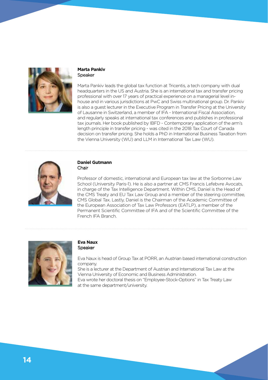

#### **Marta Pankiv** Speaker

Marta Pankiv leads the global tax function at Tricentis, a tech company with dual headquarters in the US and Austria. She is an international tax and transfer pricing professional with over 17 years of practical experience on a managerial level inhouse and in various jurisdictions at PwC and Swiss multinational group. Dr. Pankiv is also a guest lecturer in the Executive Program in Transfer Pricing at the University of Lausanne in Switzerland, a member of IFA - International Fiscal Association, and regularly speaks at international tax conferences and publishes in professional tax journals. Her book published by IBFD - Contemporary application of the arm's length principle in transfer pricing - was cited in the 2018 Tax Court of Canada decision on transfer pricing. She holds a PhD in International Business Taxation from the Vienna University (WU) and LLM in International Tax Law (WU).



#### **Daniel Gutmann** Chair

Professor of domestic, international and European tax law at the Sorbonne Law School (University Paris-1). He is also a partner at CMS Francis Lefebvre Avocats, in charge of the Tax Intelligence Department. Within CMS, Daniel is the Head of the CMS Treaty and EU Tax Law Group and a member of the steering committee, CMS Global Tax. Lastly, Daniel is the Chairman of the Academic Committee of the European Association of Tax Law Professors (EATLP), a member of the Permanent Scientific Committee of IFA and of the Scientific Committee of the French IFA Branch.



#### **Eva Naux** Speaker

Eva Naux is head of Group Tax at PORR, an Austrian based international construction company.

She is a lecturer at the Department of Austrian and International Tax Law at the Vienna University of Economic and Business Administration.

Eva wrote her doctoral thesis on "Employee-Stock-Options" in Tax Treaty Law at the same department/university.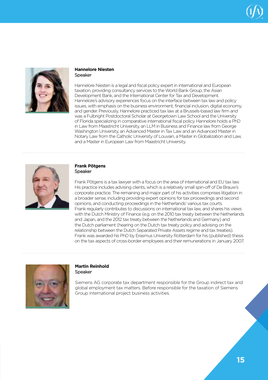



#### **Hannelore Niesten** Speaker

Hannelore Niesten is a legal and fiscal policy expert in international and European taxation, providing consultancy services to the World Bank Group, the Asian Development Bank, and the International Center for Tax and Development. Hannelore's advisory experiences focus on the interface between tax law and policy issues, with emphasis on the business environment, financial inclusion, digital economy, and gender. Previously, Hannelore practiced tax law at a Brussels-based law firm and was a Fulbright Postdoctoral Scholar at Georgetown Law School and the University of Florida specializing in comparative international fiscal policy. Hannelore holds a PhD in Law from Maastricht University, an LLM in Business and Finance law from George Washington University, an Advanced Master in Tax Law and an Advanced Master in Notary Law from the Catholic University of Louvain, a Master in Globalization and Law, and a Master in European Law from Maastricht University.



#### **Frank Pötgens** Speaker

Frank Pötgens is a tax lawyer with a focus on the area of international and EU tax law. His practice includes advising clients, which is a relatively small spin-off of De Brauw's corporate practice. The remaining and major part of his activities comprises litigation in a broader sense, including providing expert opinions for tax proceedings and second opinions, and conducting proceedings in the Netherlands' various tax courts. Frank regularly contributes to discussions on international tax law, and shares his views with the Dutch Ministry of Finance (e.g. on the 2010 tax treaty between the Netherlands and Japan, and the 2012 tax treaty between the Netherlands and Germany) and the Dutch parliament (hearing on the Dutch tax treaty policy and advising on the relationship between the Dutch Separated Private Assets regime and tax treaties). Frank was awarded his PhD by Erasmus University Rotterdam for his (published) thesis on the tax aspects of cross-border employees and their remunerations in January 2007.



#### **Martin Reinhold Speaker**

Siemens AG corporate tax department responsible for the Group indirect tax and global employment tax matters. Before responsible for the taxation of Siemens Group international project business activities.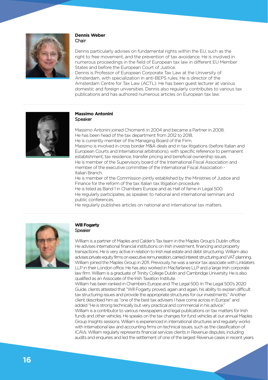

#### **Dennis Weber** Chair

Dennis particularly advises on fundamental rights within the EU, such as the right to free movement, and the prevention of tax avoidance. He is involved in numerous proceedings in the field of European tax law in different EU Member States and before the European Court of Justice.

Dennis is Professor of European Corporate Tax Law at the University of Amsterdam, with specialization in anti-BEPS rules. He is director of the Amsterdam Centre for Tax Law (ACTL). He has been guest lecturer at various domestic and foreign universities. Dennis also regularly contributes to various tax publications and has authored numerous articles on European tax law.



#### **Massimo Antonini**  Speaker

Massimo Antonini joined Chiomenti in 2004 and became a Partner in 2008. He has been head of the tax department from 2012 to 2018. He is currently member of the Managing Board of the Firm. Massimo is involved in cross border M&A deals and in tax litigations (before Italian and European Courts and International arbitrations), with specific reference to permanent establishment, tax residence, transfer pricing and beneficial ownership issues. He is member of the Supervisory board of the International Fiscal Association and member of the executive committee of the International Fiscal Association - Italian Branch.

He is member of the Commission jointly established by the Ministries of Justice and Finance for the reform of the tax Italian tax litigation procedure. He is listed as Band 1 in Chambers Europe and as Hall of fame in Legal 500. He regularly participates, as speaker, to national and international seminars and public conferences.

He regularly publishes articles on national and international tax matters.



#### **Will Fogarty Speaker**

William is a partner of Maples and Calder's Tax team in the Maples Group's Dublin office. He advises international financial institutions on Irish investment, financing and property transactions. He is very active in relation to Irish real estate and debt structuring. William also advises private equity firms on executive remuneration, carried interest structuring and VAT planning. William joined the Maples Group in 2011. Previously, he was a senior tax associate with Linklaters LLP in their London office. He has also worked in Macfarlanes LLP and a large Irish corporate law firm. William is a graduate of Trinity College Dublin and Cambridge University. He is also qualified as an Associate of the Irish Taxation Institute.

William has been ranked in Chambers Europe and The Legal 500. In The Legal 500's 2020 Guide, clients attested that "Will Fogarty proved, again and again, his ability to explain difficult tax structuring issues and provide the appropriate structures for our investments." Another client described him as "one of the best tax advisers I have come across in Europe" and added"He is strong technically but very practical and commercial in his advice." William is a contributor to various newspapers and legal publications on tax matters for Irish funds and other vehicles. He speaks on the tax changes for fund vehicles at our annual Maples Group Insights sessions. William is experienced in international structures and regularly works with international law and accounting firms on technical issues, such as the classification of ICAVs. William regularly represents financial services clients in Revenue disputes, including audits and enquiries and led the settlement of one of the largest Revenue cases in recent years.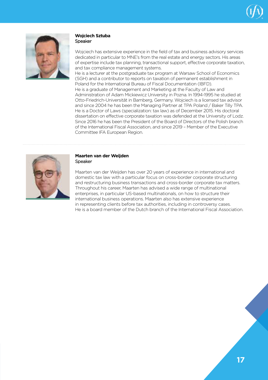



#### **Wojciech Sztuba** Speaker

Wojciech has extensive experience in the field of tax and business advisory services dedicated in particular to MNE's from the real estate and energy sectors. His areas of expertise include tax planning, transactional support, effective corporate taxation, and tax compliance management systems.

He is a lecturer at the postgraduate tax program at Warsaw School of Economics (SGH) and a contributor to reports on taxation of permanent establishment in Poland for the International Bureau of Fiscal Documentation (IBFD). He is a graduate of Management and Marketing at the Faculty of Law and Administration of Adam Mickiewicz University in Pozna. In 1994-1995 he studied at Otto-Friedrich-Universität in Bamberg, Germany. Wojciech is a licensed tax advisor and since 2004 he has been the Managing Partner at TPA Poland / Baker Tilly TPA. He is a Doctor of Laws (specialization: tax law) as of December 2015. His doctoral dissertation on effective corporate taxation was defended at the University of Lodz. Since 2016 he has been the President of the Board of Directors of the Polish branch of the International Fiscal Association, and since 2019 – Member of the Executive Committee IFA European Region.



#### **Maarten van der Weijden** Speaker

Maarten van der Weijden has over 20 years of experience in international and domestic tax law with a particular focus on cross-border corporate structuring and restructuring business transactions and cross-border corporate tax matters. Throughout his career, Maarten has advised a wide range of multinational enterprises, in particular US-based multinationals, on how to structure their international business operations. Maarten also has extensive experience in representing clients before tax authorities, including in controversy cases. He is a board member of the Dutch branch of the International Fiscal Association.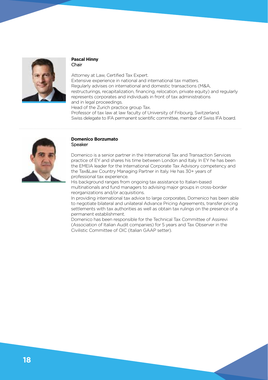

#### **Pascal Hinny** Chair

Attorney at Law, Certified Tax Expert. Extensive experience in national and international tax matters. Regularly advises on international and domestic transactions (M&A, restructurings, recapitalization, financing, relocation, private equity) and regularly represents corporates and individuals in front of tax administrations and in legal proceedings. Head of the Zurich practice group Tax.

Professor of tax law at law faculty of University of Fribourg, Switzerland. Swiss delegate to IFA permanent scientific committee, member of Swiss IFA board.



#### **Domenico Borzumato** Speaker

Domenico is a senior partner in the International Tax and Transaction Services practice of EY and shares his time between London and Italy. In EY he has been the EMEIA leader for the International Corporate Tax Advisory competency and the Tax&Law Country Managing Partner in Italy. He has 30+ years of professional tax experience.

His background ranges from ongoing tax assistance to Italian-based multinationals and fund managers to advising major groups in cross-border reorganizations and/or acquisitions.

In providing international tax advice to large corporates, Domenico has been able to negotiate bilateral and unilateral Advance Pricing Agreements, transfer pricing settlements with tax authorities as well as obtain tax rulings on the presence of a permanent establishment.

Domenico has been responsible for the Technical Tax Committee of Assirevi (Association of Italian Audit companies) for 5 years and Tax Observer in the Civilistic Committee of OIC (Italian GAAP setter).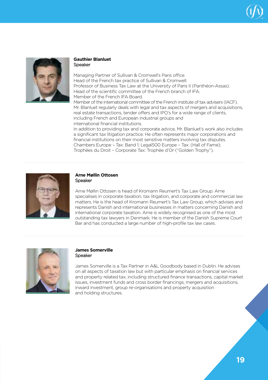



#### **Gauthier Blanluet** Speaker

Managing Partner of Sullivan & Cromwell's Paris office. Head of the French tax practice of Sullivan & Cromwell. Professor of Business Tax Law at the University of Paris II (Panthéon-Assas). Head of the scientific committee of the French branch of IFA. Member of the French IFA Board. Member of the international committee of the French institute of tax advisers (IACF). Mr. Blanluet regularly deals with legal and tax aspects of mergers and acquisitions,

real estate transactions, tender offers and IPO's for a wide range of clients, including French and European industrial groups and international financial institutions.

In addition to providing tax and corporate advice, Mr. Blanluet's work also includes a significant tax litigation practice. He often represents major corporations and financial institutions on their most sensitive matters involving tax disputes. Chambers Europe – Tax: Band 1; Legal500 Europe – Tax: (Hall of Fame); Trophées du Droit – Corporate Tax: Trophée d'Or ("Golden Trophy").



#### **Arne Møllin Ottosen** Speaker

Arne Møllin Ottosen is head of Kromann Reumert's Tax Law Group. Arne specialises in corporate taxation, tax litigation, and corporate and commercial law matters. He is the head of Kromann Reumert's Tax Law Group, which advises and represents Danish and international businesses in matters concerning Danish and international corporate taxation. Arne is widely recognised as one of the most outstanding tax lawyers in Denmark. He is member of the Danish Supreme Court Bar and has conducted a large number of high-profile tax law cases.



#### **James Somerville** Speaker

James Somerville is a Tax Partner in A&L Goodbody based in Dublin. He advises on all aspects of taxation law but with particular emphasis on financial services and property related tax, including structured finance transactions, capital market issues, investment funds and cross border financings, mergers and acquisitions, inward investment, group re-organisations and property acquisition and holding structures.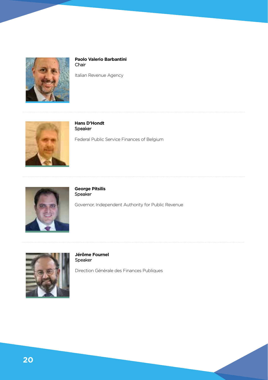

**Paolo Valerio Barbantini** Chair

Italian Revenue Agency



**Hans D'Hondt** Speaker

Federal Public Service Finances of Belgium



**George Pitsilis** Speaker

Governor, Independent Authority for Public Revenue



**Jérôme Fournel** Speaker

Direction Générale des Finances Publiques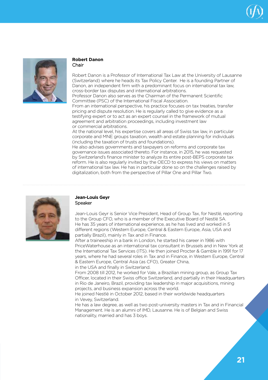



#### **Robert Danon** Chair

Robert Danon is a Professor of International Tax Law at the University of Lausanne (Switzerland) where he heads its Tax Policy Center. He is a founding Partner of Danon, an independent firm with a predominant focus on international tax law, cross-border tax disputes and international arbitrations.

Professor Danon also serves as the Chairman of the Permanent Scientific Committee (PSC) of the International Fiscal Association.

From an international perspective, his practice focuses on tax treaties, transfer pricing and dispute resolution. He is regularly called to give evidence as a testifying expert or to act as an expert counsel in the framework of mutual agreement and arbitration proceedings, including investment law or commercial arbitrations.

At the national level, his expertise covers all areas of Swiss tax law, in particular corporate and MNE groups taxation, wealth and estate planning for individuals (including the taxation of trusts and foundations).

He also advises governments and taxpayers on reforms and corporate tax governance issues associated thereto. For instance, in 2015, he was requested by Switzerland's finance minister to analyze its entire post-BEPS corporate tax reform. He is also regularly invited by the OECD to express his views on matters of international tax law. He has in particular done so on the challenges raised by digitalization, both from the perspective of Pillar One and Pillar Two.



#### **Jean-Louis Geyr Speaker**

Jean-Louis Geyr is Senior Vice President, Head of Group Tax, for Nestlé, reporting to the Group CFO, who is a member of the Executive Board of Nestlé SA. He has 35 years of international experience, as he has lived and worked in 5 different regions (Western Europe, Central & Eastern Europe, Asia, USA and partially Brazil), mainly in Tax and in Finance.

After a traineeship in a bank in London, he started his career in 1986 with PriceWaterhouse as an international tax consultant in Brussels and in New York at the International Tax Services (ITS). He then joined Procter & Gamble in 1991 for 17 years, where he had several roles in Tax and in Finance, in Western Europe, Central & Eastern Europe, Central Asia (as CFO), Greater China,

in the USA and finally in Switzerland.

From 2008 till 2012, he worked for Vale, a Brazilian mining group, as Group Tax Officer, located in their Swiss office Switzerland, and partially in their Headquarters in Rio de Janeiro, Brazil, providing tax leadership in major acquisitions, mining projects, and business expansion across the world.

He joined Nestlé in October 2012, based in their worldwide headquarters in Vevey, Switzerland.

He has a law degree, as well as two post-university masters in Tax and in Financial Management. He is an alumni of IMD, Lausanne. He is of Belgian and Swiss nationality, married and has 3 boys.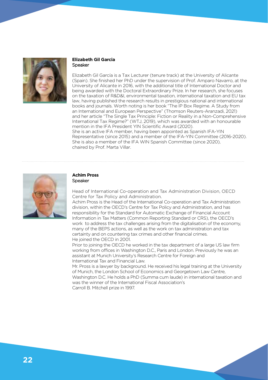

#### **Elizabeth Gil Garcia Speaker**

Elizabeth Gil García is a Tax Lecturer (tenure track) at the University of Alicante (Spain). She finished her PhD under the supervision of Prof. Amparo Navarro, at the University of Alicante in 2016, with the additional title of International Doctor and being awarded with the Doctoral Extraordinary Prize. In her research, she focuses on the taxation of R&D&I, environmental taxation, international taxation and EU tax law, having published the research results in prestigious national and international books and journals. Worth noting is her book "The IP Box Regime. A Study from an International and European Perspective" (Thomson Reuters-Aranzadi, 2021) and her article "The Single Tax Principle: Fiction or Reality in a Non-Comprehensive International Tax Regime?" (WTJ, 2019), which was awarded with an honourable mention in the IFA President YIN Scientific Award (2020). She is an active IFA member, having been appointed as Spanish IFA-YIN Representative (since 2015) and a member of the IFA-YIN Committee (2016-2020). She is also a member of the IFA WIN Spanish Committee (since 2020), chaired by Prof. Marta Villar.



#### **Achim Pross** Speaker

Head of International Co-operation and Tax Administration Division, OECD Centre for Tax Policy and Administration.

Achim Pross is the Head of the International Co-operation and Tax Administration division, within the OECD's Centre for Tax Policy and Administration, and has responsibility for the Standard for Automatic Exchange of Financial Account Information in Tax Matters (Common Reporting Standard or CRS), the OECD's work to address the tax challenges arising from the digitalisation of the economy, many of the BEPS actions, as well as the work on tax administration and tax certainty and on countering tax crimes and other financial crimes. He joined the OECD in 2001.

Prior to joining the OECD he worked in the tax department of a large US law firm working from offices in Washington D.C., Paris and London. Previously he was an assistant at Munich University's Research Centre for Foreign and International Tax and Financial Law.

Mr. Pross is a lawyer by background. He received his legal training at the University of Munich, the London School of Economics and Georgetown Law Centre, Washington D.C. He holds a PhD (Summa cum laude) in international taxation and was the winner of the International Fiscal Association's Carroll B. Mitchell prize in 1997.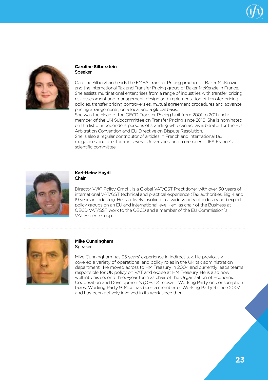



#### **Caroline Silberztein** Speaker

Caroline Silberztein heads the EMEA Transfer Pricing practice of Baker McKenzie and the International Tax and Transfer Pricing group of Baker McKenzie in France. She assists multinational enterprises from a range of industries with transfer pricing risk assessment and management, design and implementation of transfer pricing policies, transfer pricing controversies, mutual agreement procedures and advance pricing arrangements, on a local and a global basis.

She was the Head of the OECD Transfer Pricing Unit from 2001 to 2011 and a member of the UN Subcommittee on Transfer Pricing since 2010. She is nominated on the list of independent persons of standing who can act as arbitrator for the EU Arbitration Convention and EU Directive on Dispute Resolution. She is also a regular contributor of articles in French and international tax magazines and a lecturer in several Universities, and a member of IFA France's scientific committee.



#### **Karl-Heinz Haydl** Chair

Director V@T Policy GmbH, is a Global VAT/GST Practitioner with over 30 years of international VAT/GST technical and practical experience (Tax authorities, Big 4 and 19 years in Industry). He is actively involved in a wide variety of industry and expert policy groups on an EU and international level - eg, as chair of the Business at OECD VAT/GST work to the OECD and a member of the EU Commission´s VAT Expert Group.



#### **Mike Cunningham** Speaker

Mike Cunningham has 35 years' experience in indirect tax. He previously covered a variety of operational and policy roles in the UK tax administration department. He moved across to HM Treasury in 2004 and currently leads teams responsible for UK policy on VAT and excise at HM Treasury. He is also now well into his second three-year term as chair of the Organisation of Economic Cooperation and Development's (OECD) relevant Working Party on consumption taxes, Working Party 9. Mike has been a member of Working Party 9 since 2007 and has been actively involved in its work since then.